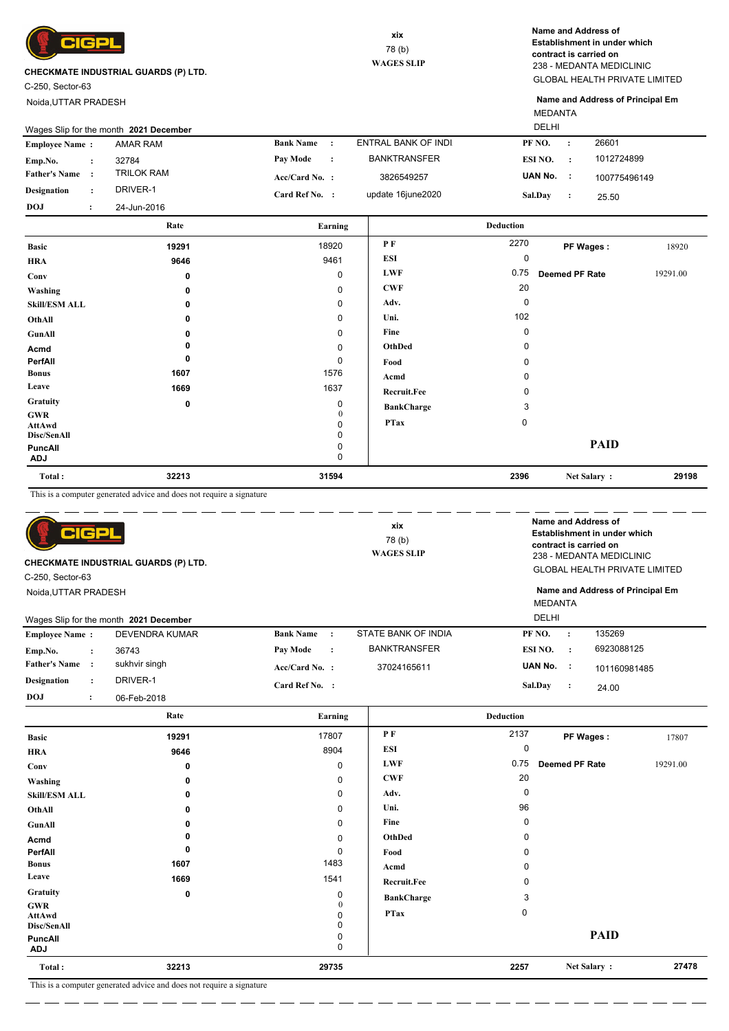

C-250, Sector-63

Noida,UTTAR PRADESH

GLOBAL HEALTH PRIVATE LIMITED 238 - MEDANTA MEDICLINIC **Name and Address of Establishment in under which contract is carried on**

MEDANTA **Name and Address of Principal Em**

| 1012724899<br>ESI NO.<br>$\cdot$ :<br>UAN No.<br>$\sim$ 1.<br>100775496149<br><b>Sal.Dav</b><br>$\cdot$<br>25.50 |
|------------------------------------------------------------------------------------------------------------------|
|                                                                                                                  |
|                                                                                                                  |
|                                                                                                                  |
|                                                                                                                  |
| 26601<br>PF NO.                                                                                                  |
|                                                                                                                  |

| Total:                       | 32213    | 31594        |                    | 2396 | Net Salary:    | 29198    |
|------------------------------|----------|--------------|--------------------|------|----------------|----------|
| <b>PuncAll</b><br><b>ADJ</b> |          | 0<br>0       |                    |      | <b>PAID</b>    |          |
| Disc/SenAll                  |          | 0            |                    |      |                |          |
| AttAwd                       |          | 0            | <b>PTax</b>        | 0    |                |          |
| GWR                          |          | $\mathbf{0}$ |                    |      |                |          |
| <b>Gratuity</b>              | 0        | 0            | <b>BankCharge</b>  | 3    |                |          |
| Leave                        | 1669     | 1637         | <b>Recruit.Fee</b> | 0    |                |          |
| <b>Bonus</b>                 | 1607     | 1576         | Acmd               | 0    |                |          |
| PerfAll                      | $\bf{0}$ | 0            | Food               | 0    |                |          |
| Acmd                         | 0        | 0            | OthDed             | 0    |                |          |
| GunAll                       | $\Omega$ | 0            | Fine               | 0    |                |          |
| OthAll                       | 0        | $\mathbf 0$  | Uni.               | 102  |                |          |
| <b>Skill/ESM ALL</b>         | $\Omega$ | 0            | Adv.               | 0    |                |          |
| Washing                      | 0        | $\mathbf 0$  | <b>CWF</b>         | 20   |                |          |
| Conv                         | 0        | 0            | <b>LWF</b>         | 0.75 | Deemed PF Rate | 19291.00 |
| <b>HRA</b>                   | 9646     | 9461         | <b>ESI</b>         | 0    |                |          |
| <b>Basic</b>                 | 19291    | 18920        | P F                | 2270 | PF Wages:      | 18920    |
|                              |          |              |                    |      |                |          |

This is a computer generated advice and does not require a signature

| C-250. Sector-63      | CIGPI                | <b>CHECKMATE INDUSTRIAL GUARDS (P) LTD.</b> |                                  | xix<br>78(b)<br><b>WAGES SLIP</b> |         |                |                | Name and Address of<br>Establishment in under which<br>contract is carried on<br>238 - MEDANTA MEDICLINIC<br><b>GLOBAL HEALTH PRIVATE LIMITED</b> |
|-----------------------|----------------------|---------------------------------------------|----------------------------------|-----------------------------------|---------|----------------|----------------|---------------------------------------------------------------------------------------------------------------------------------------------------|
| Noida.UTTAR PRADESH   |                      |                                             |                                  |                                   |         | <b>MEDANTA</b> |                | Name and Address of Principal Em                                                                                                                  |
|                       |                      | Wages Slip for the month 2021 December      |                                  |                                   |         | <b>DELHI</b>   |                |                                                                                                                                                   |
| <b>Employee Name:</b> |                      | <b>DEVENDRA KUMAR</b>                       | <b>Bank Name</b><br>$\cdot$ :    | STATE BANK OF INDIA               | PF NO.  |                | $\cdot$        | 135269                                                                                                                                            |
| Emp.No.               | $\ddot{\phantom{a}}$ | 36743                                       | Pay Mode<br>$\ddot{\phantom{a}}$ | <b>BANKTRANSFER</b>               | ESI NO. |                | $\cdot$ :      | 6923088125                                                                                                                                        |
| <b>Father's Name</b>  | $\mathbf{r}$         | sukhvir singh                               | Acc/Card No. :                   | 37024165611                       | UAN No. |                | - 1            | 101160981485                                                                                                                                      |
| <b>Designation</b>    | $\ddot{\phantom{a}}$ | DRIVER-1                                    | Card Ref No. :                   |                                   | Sal.Day |                | $\ddot{\cdot}$ | 24.00                                                                                                                                             |
| <b>DOJ</b>            | $\ddot{\cdot}$       | 06-Feb-2018                                 |                                  |                                   |         |                |                |                                                                                                                                                   |

|                                     | Rate                                                                   | Earning     |                   | <b>Deduction</b> |                |          |
|-------------------------------------|------------------------------------------------------------------------|-------------|-------------------|------------------|----------------|----------|
| <b>Basic</b>                        | 19291                                                                  | 17807       | PF                | 2137             | PF Wages:      | 17807    |
| <b>HRA</b>                          | 9646                                                                   | 8904        | ESI               | 0                |                |          |
| Conv                                | 0                                                                      | 0           | <b>LWF</b>        | 0.75             | Deemed PF Rate | 19291.00 |
| Washing                             | 0                                                                      | $\mathbf 0$ | <b>CWF</b>        | 20               |                |          |
| <b>Skill/ESM ALL</b>                | 0                                                                      | $\mathbf 0$ | Adv.              | $\Omega$         |                |          |
| OthAll                              | 0                                                                      | $\mathbf 0$ | Uni.              | 96               |                |          |
| GunAll                              | 0                                                                      | $\mathbf 0$ | Fine              | 0                |                |          |
| Acmd                                |                                                                        | $\mathbf 0$ | OthDed            | $\Omega$         |                |          |
| PerfAll                             | 0                                                                      | 0           | Food              | 0                |                |          |
| <b>Bonus</b>                        | 1607                                                                   | 1483        | Acmd              | 0                |                |          |
| Leave                               | 1669                                                                   | 1541        | Recruit.Fee       | 0                |                |          |
| Gratuity                            | $\mathbf 0$                                                            | $\Omega$    | <b>BankCharge</b> | 3                |                |          |
| <b>GWR</b><br>AttAwd<br>Disc/SenAll |                                                                        | 0<br>0      | <b>PTax</b>       | 0                |                |          |
| PuncAll<br><b>ADJ</b>               |                                                                        | 0<br>0      |                   |                  | <b>PAID</b>    |          |
| Total:                              | 32213                                                                  | 29735       |                   | 2257             | Net Salary:    | 27478    |
| m<1                                 | $-1 - 1 - 1 - 1$<br>the contract of the con-<br>$\sim$<br>$\mathbf{1}$ |             |                   |                  |                |          |

This is a computer generated advice and does not require a signature  $\overline{\phantom{a}}$ 

 $\overline{a}$ L.  $\overline{\phantom{a}}$  $\overline{\phantom{a}}$ 

 $\overline{\phantom{a}}$  $\overline{\phantom{a}}$  $=$   $\overline{\phantom{a}}$  $=$   $-$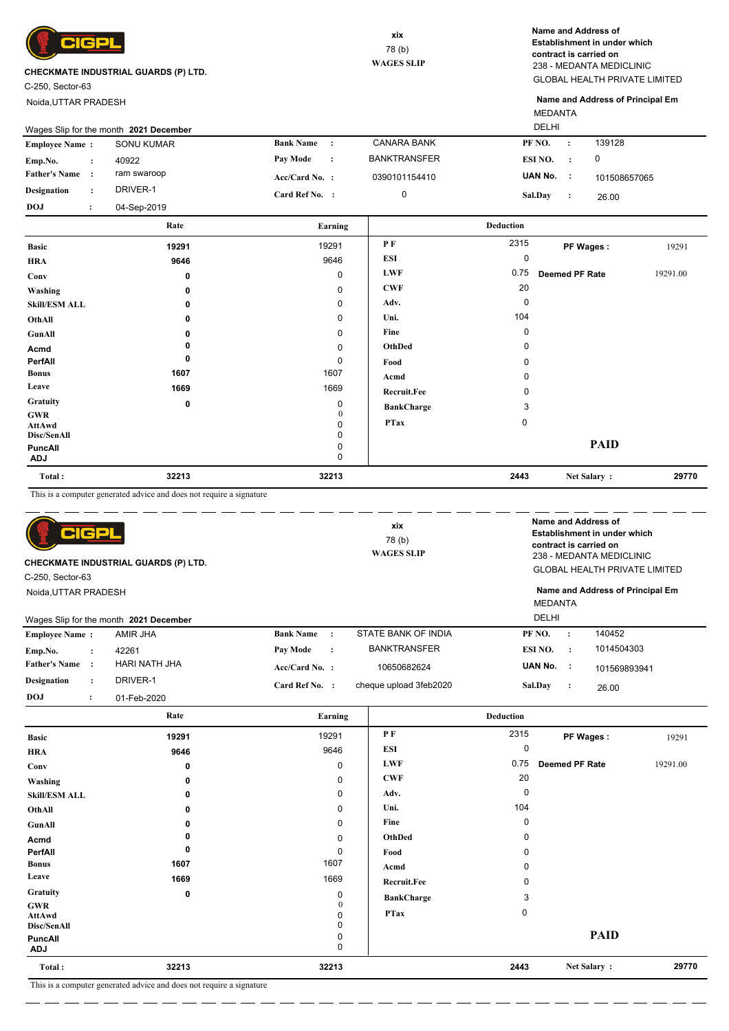

C-250, Sector-63

Noida,UTTAR PRADESH

GLOBAL HEALTH PRIVATE LIMITED 238 - MEDANTA MEDICLINIC **Name and Address of Establishment in under which contract is carried on**

MEDANTA **Name and Address of Principal Em**

|                       | Wages Slip for the month 2021 December |                  |                |                     | <b>DELHI</b>   |           |              |
|-----------------------|----------------------------------------|------------------|----------------|---------------------|----------------|-----------|--------------|
| <b>Employee Name:</b> | SONU KUMAR                             | <b>Bank Name</b> |                | <b>CANARA BANK</b>  | PF NO.         | $\cdot$ : | 139128       |
| Emp.No.               | 40922                                  | <b>Pay Mode</b>  | $\ddot{\cdot}$ | <b>BANKTRANSFER</b> | ESI NO.        | $\cdot$ . | 0            |
| <b>Father's Name</b>  | ram swaroop                            | $Acc/Card No.$ : |                | 0390101154410       | UAN No.        |           | 101508657065 |
| Designation           | DRIVER-1                               | Card Ref No. :   |                | 0                   | <b>Sal.Day</b> |           | 26.00        |
| <b>DOJ</b>            | 04-Sep-2019                            |                  |                |                     |                |           |              |

|                              | Rate     | Earning     |                    | <b>Deduction</b> |                       |          |
|------------------------------|----------|-------------|--------------------|------------------|-----------------------|----------|
| <b>Basic</b>                 | 19291    | 19291       | PF                 | 2315             | PF Wages:             | 19291    |
| <b>HRA</b>                   | 9646     | 9646        | ESI                | 0                |                       |          |
| Conv                         | 0        | $\mathbf 0$ | <b>LWF</b>         | 0.75             | <b>Deemed PF Rate</b> | 19291.00 |
| Washing                      | 0        | 0           | <b>CWF</b>         | 20               |                       |          |
| <b>Skill/ESM ALL</b>         | 0        | 0           | Adv.               | 0                |                       |          |
| OthAll                       | $\Omega$ | 0           | Uni.               | 104              |                       |          |
| GunAll                       | 0        | 0           | Fine               | 0                |                       |          |
| Acmd                         |          | 0           | OthDed             | 0                |                       |          |
| PerfAll                      | 0        | 0           | Food               |                  |                       |          |
| <b>Bonus</b>                 | 1607     | 1607        | Acmd               | $\Omega$         |                       |          |
| Leave                        | 1669     | 1669        | <b>Recruit.Fee</b> |                  |                       |          |
| Gratuity                     | 0        | 0           | <b>BankCharge</b>  | 3                |                       |          |
| <b>GWR</b><br>AttAwd         |          | 0<br>0      | <b>PTax</b>        | $\mathbf 0$      |                       |          |
| Disc/SenAll                  |          | 0           |                    |                  |                       |          |
| <b>PuncAll</b><br><b>ADJ</b> |          | 0<br>0      |                    |                  | <b>PAID</b>           |          |
| Total:                       | 32213    | 32213       |                    | 2443             | Net Salary:           | 29770    |

This is a computer generated advice and does not require a signature

| cþ<br><b>CHECKMATE INDUSTRIAL GUARDS (P) LTD.</b> |                      |                                        |                  | xix<br>78 (b)<br><b>WAGES SLIP</b> |                        | Name and Address of<br>Establishment in under which<br>contract is carried on<br>238 - MEDANTA MEDICLINIC<br><b>GLOBAL HEALTH PRIVATE LIMITED</b> |                |                                  |
|---------------------------------------------------|----------------------|----------------------------------------|------------------|------------------------------------|------------------------|---------------------------------------------------------------------------------------------------------------------------------------------------|----------------|----------------------------------|
| C-250, Sector-63                                  |                      |                                        |                  |                                    |                        |                                                                                                                                                   |                |                                  |
| Noida, UTTAR PRADESH                              |                      |                                        |                  |                                    |                        | <b>MEDANTA</b><br><b>DELHI</b>                                                                                                                    |                | Name and Address of Principal Em |
|                                                   |                      | Wages Slip for the month 2021 December |                  |                                    |                        |                                                                                                                                                   |                |                                  |
| <b>Employee Name:</b>                             |                      | AMIR JHA                               | <b>Bank Name</b> | $\cdot$ :                          | STATE BANK OF INDIA    | PF NO.                                                                                                                                            |                | 140452                           |
| Emp.No.                                           | $\ddot{\phantom{a}}$ | 42261                                  | Pay Mode         | $\cdot$                            | <b>BANKTRANSFER</b>    | ESI NO.                                                                                                                                           | $\cdot$        | 1014504303                       |
| <b>Father's Name</b>                              |                      | <b>HARI NATH JHA</b>                   | Acc/Card No. :   |                                    | 10650682624            | UAN No. :                                                                                                                                         |                | 101569893941                     |
| <b>Designation</b>                                | $\ddot{\phantom{a}}$ | DRIVER-1                               | Card Ref No. :   |                                    | cheque upload 3feb2020 | <b>Sal.Dav</b>                                                                                                                                    | $\ddot{\cdot}$ | 26.00                            |
| <b>DOJ</b>                                        | $\bullet$<br>$\cdot$ | 01-Feb-2020                            |                  |                                    |                        |                                                                                                                                                   |                |                                  |

| <b>Basic</b><br><b>HRA</b><br>Conv<br>Washing<br><b>Skill/ESM ALL</b> | 19291<br>9646<br>0<br>$\bf{0}$<br>$\Omega$ | 19291<br>9646<br>$\mathbf 0$<br>0 | P F<br><b>ESI</b><br><b>LWF</b><br><b>CWF</b> | 2315<br>0<br>0.75 | PF Wages:<br>Deemed PF Rate | 19291    |
|-----------------------------------------------------------------------|--------------------------------------------|-----------------------------------|-----------------------------------------------|-------------------|-----------------------------|----------|
|                                                                       |                                            |                                   |                                               |                   |                             |          |
|                                                                       |                                            |                                   |                                               |                   |                             |          |
|                                                                       |                                            |                                   |                                               |                   |                             | 19291.00 |
|                                                                       |                                            |                                   |                                               | 20                |                             |          |
|                                                                       |                                            | 0                                 | Adv.                                          | 0                 |                             |          |
| OthAll                                                                | 0                                          | 0                                 | Uni.                                          | 104               |                             |          |
| GunAll                                                                | $\mathbf{0}$                               | 0                                 | Fine                                          | $\mathbf 0$       |                             |          |
| Acmd                                                                  |                                            | 0                                 | OthDed                                        | $\Omega$          |                             |          |
| PerfAll                                                               | 0                                          | 0                                 | Food                                          | $\Omega$          |                             |          |
| <b>Bonus</b>                                                          | 1607                                       | 1607                              | Acmd                                          | $\Omega$          |                             |          |
| Leave                                                                 | 1669                                       | 1669                              | <b>Recruit.Fee</b>                            | $\Omega$          |                             |          |
| Gratuity                                                              | 0                                          | 0                                 | <b>BankCharge</b>                             | 3                 |                             |          |
| <b>GWR</b><br><b>AttAwd</b><br>Disc/SenAll                            |                                            | $\Omega$                          | <b>PTax</b>                                   | 0                 |                             |          |
| <b>PuncAll</b><br><b>ADJ</b>                                          |                                            | 0<br>0                            |                                               |                   | <b>PAID</b>                 |          |
| Total:                                                                | 32213                                      | 32213                             |                                               | 2443              | Net Salary:                 | 29770    |

This is a computer generated advice and does not require a signature

L.

. <u>. . . . . . . . .</u> . . . . .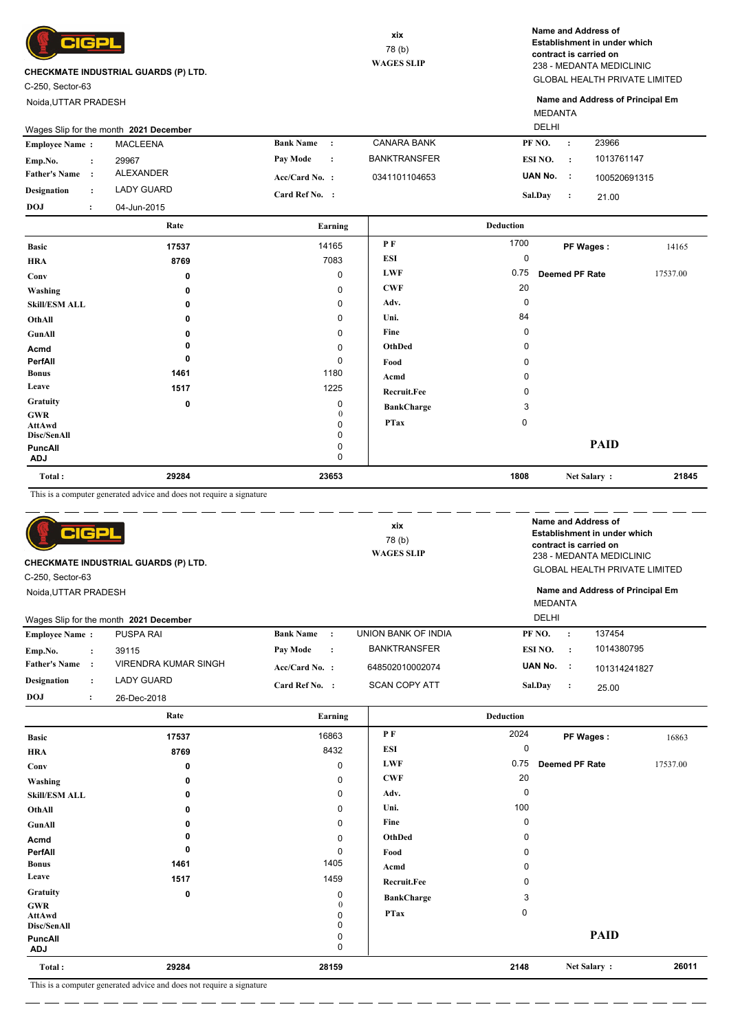

C-250, Sector-63

Noida,UTTAR PRADESH

GLOBAL HEALTH PRIVATE LIMITED 238 - MEDANTA MEDICLINIC **Name and Address of Establishment in under which contract is carried on**

MEDANTA **Name and Address of Principal Em**

|                       | Wages Slip for the month 2021 December | <b>DELHI</b>     |           |                     |                |           |              |  |
|-----------------------|----------------------------------------|------------------|-----------|---------------------|----------------|-----------|--------------|--|
| <b>Employee Name:</b> | <b>MACLEENA</b>                        | <b>Bank Name</b> |           | CANARA BANK         | PF NO.         | $\cdot$ : | 23966        |  |
| Emp.No.               | 29967                                  | Pay Mode         | $\cdot$ : | <b>BANKTRANSFER</b> | ESI NO.        | $\cdot$   | 1013761147   |  |
| <b>Father's Name</b>  | ALEXANDER                              | $Acc/Card No.$ : |           | 0341101104653       | UAN No. :      |           | 100520691315 |  |
| <b>Designation</b>    | LADY GUARD                             | Card Ref No. :   |           |                     | <b>Sal.Day</b> |           | 21.00        |  |
| <b>DOJ</b>            | 04-Jun-2015                            |                  |           |                     |                |           |              |  |

|                       | Rate  | Earning       |                    | <b>Deduction</b> |                       |          |
|-----------------------|-------|---------------|--------------------|------------------|-----------------------|----------|
| <b>Basic</b>          | 17537 | 14165         | PF                 | 1700             | PF Wages:             | 14165    |
| <b>HRA</b>            | 8769  | 7083          | <b>ESI</b>         | 0                |                       |          |
| Conv                  | 0     | 0             | <b>LWF</b>         | 0.75             | <b>Deemed PF Rate</b> | 17537.00 |
| Washing               | 0     | 0             | <b>CWF</b>         | 20               |                       |          |
| <b>Skill/ESM ALL</b>  | 0     | 0             | Adv.               | 0                |                       |          |
| OthAll                | 0     | 0             | Uni.               | 84               |                       |          |
| GunAll                | 0     | 0             | Fine               | 0                |                       |          |
| Acmd                  | 0     | 0             | OthDed             | 0                |                       |          |
| PerfAll               | 0     | 0             | Food               | 0                |                       |          |
| <b>Bonus</b>          | 1461  | 1180          | Acmd               | 0                |                       |          |
| Leave                 | 1517  | 1225          | <b>Recruit.Fee</b> | 0                |                       |          |
| Gratuity              | 0     | 0             | <b>BankCharge</b>  | 3                |                       |          |
| <b>GWR</b><br>AttAwd  |       | 0<br>$\Omega$ | <b>PTax</b>        | $\mathbf 0$      |                       |          |
| Disc/SenAll           |       | 0             |                    |                  |                       |          |
| PuncAll<br><b>ADJ</b> |       | 0<br>0        |                    |                  | <b>PAID</b>           |          |
| Total:                | 29284 | 23653         |                    | 1808             | Net Salary:           | 21845    |

This is a computer generated advice and does not require a signature

| IGP<br>C-250, Sector-63                                        | CHECKMATE INDUSTRIAL GUARDS (P) LTD. |                  |         | xix<br>78(b)<br><b>WAGES SLIP</b> | Name and Address of<br>contract is carried on |           | Establishment in under which<br>238 - MEDANTA MEDICLINIC<br><b>GLOBAL HEALTH PRIVATE LIMITED</b> |
|----------------------------------------------------------------|--------------------------------------|------------------|---------|-----------------------------------|-----------------------------------------------|-----------|--------------------------------------------------------------------------------------------------|
| Noida, UTTAR PRADESH<br>Wages Slip for the month 2021 December |                                      |                  |         |                                   | <b>MEDANTA</b><br><b>DELHI</b>                |           | Name and Address of Principal Em                                                                 |
| <b>Employee Name:</b>                                          | <b>PUSPA RAI</b>                     | <b>Bank Name</b> | $\cdot$ | <b>UNION BANK OF INDIA</b>        | PF NO.                                        | $\cdot$   | 137454                                                                                           |
| Emp.No.<br>$\ddot{\phantom{a}}$                                | 39115                                | Pay Mode         | $\cdot$ | <b>BANKTRANSFER</b>               | ESI NO.                                       | $\cdot$ : | 1014380795                                                                                       |
| <b>Father's Name</b><br>$\cdot$                                | VIRENDRA KUMAR SINGH                 | $Acc/Card No.$ : |         | 648502010002074                   | UAN No.                                       | - 1       | 101314241827                                                                                     |
| <b>Designation</b><br>$\ddot{\phantom{a}}$                     | <b>LADY GUARD</b>                    | Card Ref No. :   |         | <b>SCAN COPY ATT</b>              | Sal.Day                                       | $\cdot$ : | 25.00                                                                                            |
| <b>DOJ</b><br>$\ddot{\phantom{a}}$                             | 26-Dec-2018                          |                  |         |                                   |                                               |           |                                                                                                  |

|                              | Rate                                                                   | Earning          |                    | <b>Deduction</b> |                       |          |
|------------------------------|------------------------------------------------------------------------|------------------|--------------------|------------------|-----------------------|----------|
| <b>Basic</b>                 | 17537                                                                  | 16863            | P F                | 2024             | PF Wages:             | 16863    |
| <b>HRA</b>                   | 8769                                                                   | 8432             | ESI                | 0                |                       |          |
| Conv                         | 0                                                                      | 0                | <b>LWF</b>         | 0.75             | <b>Deemed PF Rate</b> | 17537.00 |
| Washing                      | 0                                                                      | 0                | <b>CWF</b>         | 20               |                       |          |
| <b>Skill/ESM ALL</b>         | 0                                                                      | 0                | Adv.               | $\mathbf 0$      |                       |          |
| OthAll                       | 0                                                                      | $\mathbf 0$      | Uni.               | 100              |                       |          |
| GunAll                       | 0                                                                      | 0                | Fine               | 0                |                       |          |
| Acmd                         |                                                                        | 0                | OthDed             | 0                |                       |          |
| PerfAll                      | 0                                                                      | 0                | Food               | O                |                       |          |
| <b>Bonus</b>                 | 1461                                                                   | 1405             | Acmd               | ŋ                |                       |          |
| Leave                        | 1517                                                                   | 1459             | <b>Recruit.Fee</b> | 0                |                       |          |
| Gratuity                     | $\mathbf 0$                                                            | 0                | <b>BankCharge</b>  | 3                |                       |          |
| GWR<br>AttAwd<br>Disc/SenAll |                                                                        | 0<br>0<br>0      | <b>PTax</b>        | 0                |                       |          |
| PuncAll<br><b>ADJ</b>        |                                                                        | 0<br>$\mathbf 0$ |                    |                  | <b>PAID</b>           |          |
| Total:                       | 29284                                                                  | 28159            |                    | 2148             | Net Salary:           | 26011    |
| $m + 1$                      | $-1 - 1 - 1 - 1$<br>$\sim$<br>the contract of the con-<br>$\mathbf{1}$ |                  |                    |                  |                       |          |

This is a computer generated advice and does not require a signature

— — —

L.

- - - - - - - - - - - -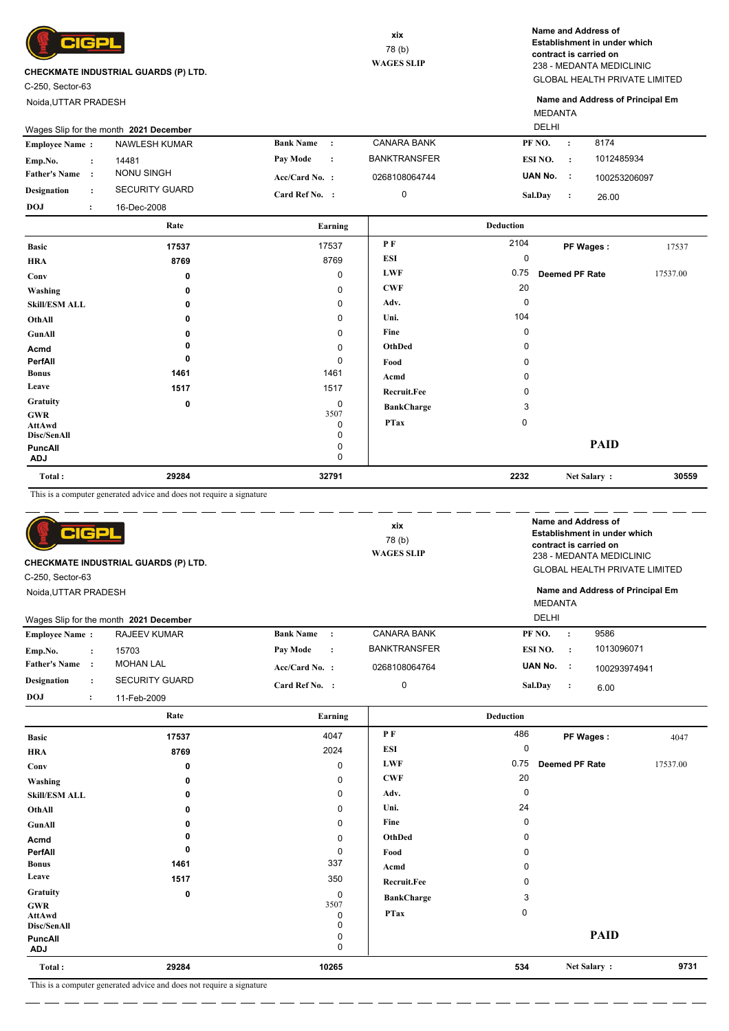

C-250, Sector-63

Noida,UTTAR PRADESH

GLOBAL HEALTH PRIVATE LIMITED 238 - MEDANTA MEDICLINIC **Name and Address of Establishment in under which contract is carried on**

MEDANTA **Name and Address of Principal Em**

|                       | Wages Slip for the month 2021 December |                       |                  |           |                     |                |         |              |
|-----------------------|----------------------------------------|-----------------------|------------------|-----------|---------------------|----------------|---------|--------------|
| <b>Employee Name:</b> |                                        | <b>NAWLESH KUMAR</b>  | <b>Bank Name</b> | $\cdot$   | <b>CANARA BANK</b>  | PF NO.         | $\cdot$ | 8174         |
| Emp.No.               |                                        | 14481                 | <b>Pay Mode</b>  | $\cdot$ : | <b>BANKTRANSFER</b> | ESI NO.        |         | 1012485934   |
| <b>Father's Name</b>  |                                        | <b>NONU SINGH</b>     | $Acc/Card No.$ : |           | 0268108064744       | UAN No.        |         | 100253206097 |
| <b>Designation</b>    |                                        | <b>SECURITY GUARD</b> | Card Ref No. :   |           | 0                   | <b>Sal.Day</b> |         | 26.00        |
| <b>DOJ</b>            |                                        | 16-Dec-2008           |                  |           |                     |                |         |              |

|                              | Rate  | Earning     |                    | <b>Deduction</b> |                |          |
|------------------------------|-------|-------------|--------------------|------------------|----------------|----------|
| <b>Basic</b>                 | 17537 | 17537       | PF                 | 2104             | PF Wages:      | 17537    |
| <b>HRA</b>                   | 8769  | 8769        | ESI                | 0                |                |          |
| Conv                         | 0     | 0           | <b>LWF</b>         | 0.75             | Deemed PF Rate | 17537.00 |
| Washing                      | 0     | 0           | <b>CWF</b>         | 20               |                |          |
| <b>Skill/ESM ALL</b>         | 0     | 0           | Adv.               | $\mathbf 0$      |                |          |
| OthAll                       | 0     | 0           | Uni.               | 104              |                |          |
| GunAll                       |       | $\mathbf 0$ | Fine               | 0                |                |          |
| Acmd                         |       | 0           | OthDed             | 0                |                |          |
| PerfAll                      | 0     | 0           | Food               | 0                |                |          |
| <b>Bonus</b>                 | 1461  | 1461        | Acmd               | 0                |                |          |
| Leave                        | 1517  | 1517        | <b>Recruit.Fee</b> | 0                |                |          |
| Gratuity                     | 0     | 0           | <b>BankCharge</b>  | 3                |                |          |
| <b>GWR</b><br>AttAwd         |       | 3507<br>0   | <b>PTax</b>        | 0                |                |          |
| Disc/SenAll                  |       | 0           |                    |                  |                |          |
| <b>PuncAll</b><br><b>ADJ</b> |       | 0<br>0      |                    |                  | <b>PAID</b>    |          |
| Total:                       | 29284 | 32791       |                    | 2232             | Net Salary:    | 30559    |

This is a computer generated advice and does not require a signature

| 어머기<br>CHECKMATE INDUSTRIAL GUARDS (P) LTD.<br>C-250, Sector-63 |                                        |                                        | xix<br>78(b)<br><b>WAGES SLIP</b>       |                                      | Name and Address of<br>Establishment in under which<br>contract is carried on<br>238 - MEDANTA MEDICLINIC<br><b>GLOBAL HEALTH PRIVATE LIMITED</b> |                 |                                  |
|-----------------------------------------------------------------|----------------------------------------|----------------------------------------|-----------------------------------------|--------------------------------------|---------------------------------------------------------------------------------------------------------------------------------------------------|-----------------|----------------------------------|
| Noida, UTTAR PRADESH                                            |                                        | Wages Slip for the month 2021 December |                                         |                                      | MEDANTA<br>DELHI                                                                                                                                  |                 | Name and Address of Principal Em |
| <b>Employee Name:</b>                                           |                                        | RAJEEV KUMAR                           | <b>Bank Name</b><br>$\cdot$ :           | <b>CANARA BANK</b>                   | PF NO.                                                                                                                                            | $\ddot{\cdot}$  | 9586                             |
| Emp.No.<br><b>Father's Name</b>                                 | $\ddot{\phantom{a}}$<br>$\cdot$ :      | 15703<br><b>MOHAN LAL</b>              | Pay Mode<br>$\cdot$<br>$Acc/Card No.$ : | <b>BANKTRANSFER</b><br>0268108064764 | ESI NO.<br>UAN No.                                                                                                                                | $\cdot$<br>- 11 | 1013096071<br>100293974941       |
| <b>Designation</b><br><b>DOJ</b>                                | $\ddot{\phantom{a}}$<br>$\ddot{\cdot}$ | <b>SECURITY GUARD</b><br>11-Feb-2009   | Card Ref No. :                          | 0                                    | <b>Sal.Dav</b>                                                                                                                                    | $\cdot$         | 6.00                             |
|                                                                 |                                        | Rate                                   | Earning                                 |                                      | <b>Deduction</b>                                                                                                                                  |                 |                                  |

| <b>Basic</b>                 | 17537       | 4047        | PF                 | 486      | PF Wages:             | 4047     |
|------------------------------|-------------|-------------|--------------------|----------|-----------------------|----------|
| <b>HRA</b>                   | 8769        | 2024        | ESI                | 0        |                       |          |
| Conv                         | 0           | 0           | <b>LWF</b>         | 0.75     | <b>Deemed PF Rate</b> | 17537.00 |
| Washing                      | 0           | 0           | <b>CWF</b>         | 20       |                       |          |
| <b>Skill/ESM ALL</b>         | 0           | 0           | Adv.               | 0        |                       |          |
| OthAll                       | 0           | 0           | Uni.               | 24       |                       |          |
| GunAll                       | 0           | $\mathbf 0$ | Fine               | 0        |                       |          |
| Acmd                         | 0           | $\mathbf 0$ | OthDed             | $\Omega$ |                       |          |
| PerfAll                      | 0           | 0           | Food               | 0        |                       |          |
| <b>Bonus</b>                 | 1461        | 337         | Acmd               | 0        |                       |          |
| Leave                        | 1517        | 350         | <b>Recruit.Fee</b> | 0        |                       |          |
| Gratuity                     | $\mathbf 0$ | 0           | <b>BankCharge</b>  | 3        |                       |          |
| GWR<br><b>AttAwd</b>         |             | 3507<br>0   | <b>PTax</b>        | 0        |                       |          |
| Disc/SenAll                  |             | 0<br>0      |                    |          | <b>PAID</b>           |          |
| <b>PuncAll</b><br><b>ADJ</b> |             | 0           |                    |          |                       |          |
| Total:                       | 29284       | 10265       |                    | 534      | Net Salary:           | 9731     |

 $=$   $-$ <u>.</u>

. <u>. . . . . . .</u> . . . . .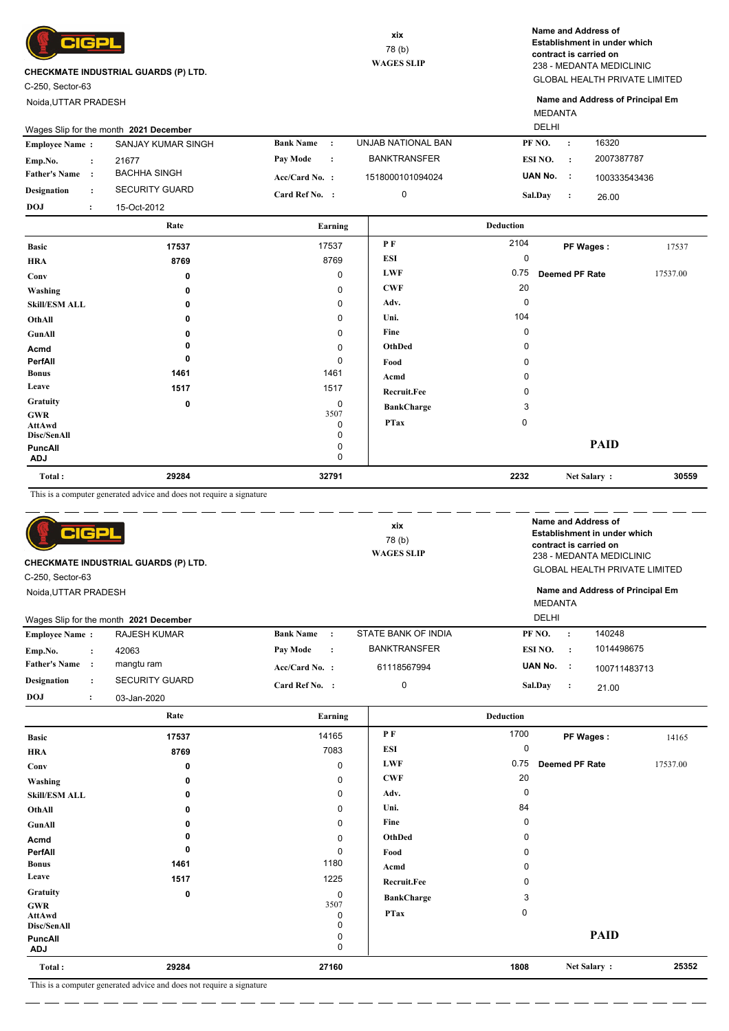

C-250, Sector-63

Noida,UTTAR PRADESH

GLOBAL HEALTH PRIVATE LIMITED 238 - MEDANTA MEDICLINIC **Name and Address of Establishment in under which contract is carried on**

MEDANTA **Name and Address of Principal Em**

|                       |                      | Wages Slip for the month 2021 December |                              |                     | <b>DELHI</b>     |                |              |          |
|-----------------------|----------------------|----------------------------------------|------------------------------|---------------------|------------------|----------------|--------------|----------|
| <b>Employee Name:</b> |                      | SANJAY KUMAR SINGH                     | <b>Bank Name</b><br>$\sim$ 1 | UNJAB NATIONAL BAN  | PF NO.           |                | 16320        |          |
| Emp.No.               | $\ddot{\phantom{a}}$ | 21677                                  | Pay Mode<br>$\cdot$ :        | <b>BANKTRANSFER</b> | ESI NO.          | $\cdot$        | 2007387787   |          |
| <b>Father's Name</b>  |                      | <b>BACHHA SINGH</b>                    | $Acc/Card No.$ :             | 1518000101094024    | UAN No.          | ÷              | 100333543436 |          |
| <b>Designation</b>    | $\ddot{\phantom{a}}$ | <b>SECURITY GUARD</b>                  | Card Ref No. :               | 0                   | Sal.Dav          | $\ddot{\cdot}$ | 26.00        |          |
| <b>DOJ</b>            | $\ddot{\phantom{0}}$ | 15-Oct-2012                            |                              |                     |                  |                |              |          |
|                       |                      | Rate                                   | Earning                      |                     | <b>Deduction</b> |                |              |          |
| <b>Basic</b>          |                      | 17537                                  | 17537                        | P F                 | 2104             | PF Wages:      |              | 17537    |
| <b>HRA</b>            |                      | 8769                                   | 8769                         | ESI                 | 0                |                |              |          |
| $_{\rm Conv}$         |                      | $\mathbf{r}$                           | O                            | <b>LWF</b>          | 0.75             | Deemed PF Rate |              | 17537.00 |

| Conv                                | 0    | 0                     | LWF               | 0.75     | <b>Deemed PF Rate</b> | 17537.00 |
|-------------------------------------|------|-----------------------|-------------------|----------|-----------------------|----------|
| Washing                             | 0    | 0                     | <b>CWF</b>        | 20       |                       |          |
| <b>Skill/ESM ALL</b>                | 0    | 0                     | Adv.              | $\Omega$ |                       |          |
| OthAll                              | 0    | 0                     | Uni.              | 104      |                       |          |
| GunAll                              |      | 0                     | Fine              | $\Omega$ |                       |          |
| Acmd                                |      | 0                     | OthDed            |          |                       |          |
| PerfAll                             | 0    | 0                     | Food              |          |                       |          |
| <b>Bonus</b>                        | 1461 | 1461                  | Acmd              |          |                       |          |
| Leave                               | 1517 | 1517                  | Recruit.Fee       | 0        |                       |          |
| Gratuity                            | 0    | $\mathbf 0$           | <b>BankCharge</b> | 3        |                       |          |
| <b>GWR</b><br>AttAwd<br>Disc/SenAll |      | 3507<br>0<br>$\Omega$ | <b>PTax</b>       | 0        |                       |          |
| PuncAll<br><b>ADJ</b>               |      | 0                     |                   |          | <b>PAID</b>           |          |

| Total:    | 29284                                                        | 32791 | 2232 | Net Salar | 30559 |
|-----------|--------------------------------------------------------------|-------|------|-----------|-------|
| This is a | a computer generated advice and does not require a signature |       |      |           |       |

| CIGPL<br><b>CHECKMATE INDUSTRIAL GUARDS (P) LTD.</b><br>C-250, Sector-63<br>Noida, UTTAR PRADESH<br>Wages Slip for the month 2021 December |                       |                               | xix<br>78(b)<br><b>WAGES SLIP</b> |                  |           | Name and Address of<br>Establishment in under which<br>contract is carried on<br>238 - MEDANTA MEDICLINIC<br><b>GLOBAL HEALTH PRIVATE LIMITED</b><br>Name and Address of Principal Em<br><b>MEDANTA</b><br><b>DELHI</b> |       |  |  |  |
|--------------------------------------------------------------------------------------------------------------------------------------------|-----------------------|-------------------------------|-----------------------------------|------------------|-----------|-------------------------------------------------------------------------------------------------------------------------------------------------------------------------------------------------------------------------|-------|--|--|--|
| <b>Employee Name:</b>                                                                                                                      | <b>RAJESH KUMAR</b>   | <b>Bank Name</b><br>$\cdot$ : | STATE BANK OF INDIA               | PF NO.           | $\cdot$ : | 140248                                                                                                                                                                                                                  |       |  |  |  |
| Emp.No.<br>$\ddot{\cdot}$                                                                                                                  | 42063                 | Pay Mode<br>$\cdot$           | <b>BANKTRANSFER</b>               | ESI NO.          | $\cdot$ : | 1014498675                                                                                                                                                                                                              |       |  |  |  |
| <b>Father's Name</b><br>$\cdot$ :                                                                                                          | mangtu ram            | Acc/Card No. :                | 61118567994                       | UAN No.          | - 11      | 100711483713                                                                                                                                                                                                            |       |  |  |  |
| <b>Designation</b><br>$\ddot{\phantom{a}}$                                                                                                 | <b>SECURITY GUARD</b> | Card Ref No. :                | $\mathbf 0$                       | Sal.Day          | $\cdot$ : | 21.00                                                                                                                                                                                                                   |       |  |  |  |
| <b>DOJ</b><br>$\ddot{\cdot}$                                                                                                               | 03-Jan-2020           |                               |                                   |                  |           |                                                                                                                                                                                                                         |       |  |  |  |
|                                                                                                                                            | Rate                  | Earning                       |                                   | <b>Deduction</b> |           |                                                                                                                                                                                                                         |       |  |  |  |
| <b>Basic</b>                                                                                                                               | 17537                 | 14165                         | P F                               | 1700             | PF Wages: |                                                                                                                                                                                                                         | 14165 |  |  |  |
| <b>HRA</b>                                                                                                                                 | 8769                  | 7083                          | <b>ESI</b>                        | 0                |           |                                                                                                                                                                                                                         |       |  |  |  |

| <b>HRA</b>                   | 8769                                                                  | 7083        | ESI               | $\mathbf 0$ |                       |          |
|------------------------------|-----------------------------------------------------------------------|-------------|-------------------|-------------|-----------------------|----------|
| Conv                         | 0                                                                     | 0           | <b>LWF</b>        | 0.75        | <b>Deemed PF Rate</b> | 17537.00 |
| Washing                      | 0                                                                     | 0           | <b>CWF</b>        | 20          |                       |          |
| <b>Skill/ESM ALL</b>         | 0                                                                     | 0           | Adv.              | 0           |                       |          |
| OthAll                       | 0                                                                     | $\mathbf 0$ | Uni.              | 84          |                       |          |
| GunAll                       | 0                                                                     | 0           | Fine              | 0           |                       |          |
| Acmd                         |                                                                       | 0           | OthDed            |             |                       |          |
| PerfAll                      | 0                                                                     | 0           | Food              |             |                       |          |
| <b>Bonus</b>                 | 1461                                                                  | 1180        | Acmd              | n           |                       |          |
| Leave                        | 1517                                                                  | 1225        | Recruit.Fee       |             |                       |          |
| Gratuity                     | 0                                                                     | $\mathbf 0$ | <b>BankCharge</b> | 3           |                       |          |
| <b>GWR</b><br>AttAwd         |                                                                       | 3507<br>0   | <b>PTax</b>       | 0           |                       |          |
| Disc/SenAll                  |                                                                       | 0           |                   |             | <b>PAID</b>           |          |
| <b>PuncAll</b><br><b>ADJ</b> |                                                                       | 0<br>0      |                   |             |                       |          |
| Total:                       | 29284                                                                 | 27160       |                   | 1808        | Net Salary:           | 25352    |
|                              | This is a commuter concreted advice and does not require a signature. |             |                   |             |                       |          |

 $=$   $-$ 

This is a computer generated advice and does not require a signature

- - - - - - - - - - - -

 $\overline{\phantom{a}}$ 

 $=$   $=$  $=$   $-$ 

- - -

 $=$   $=$   $-$   $=$   $=$  $=$   $=$  $=$   $=$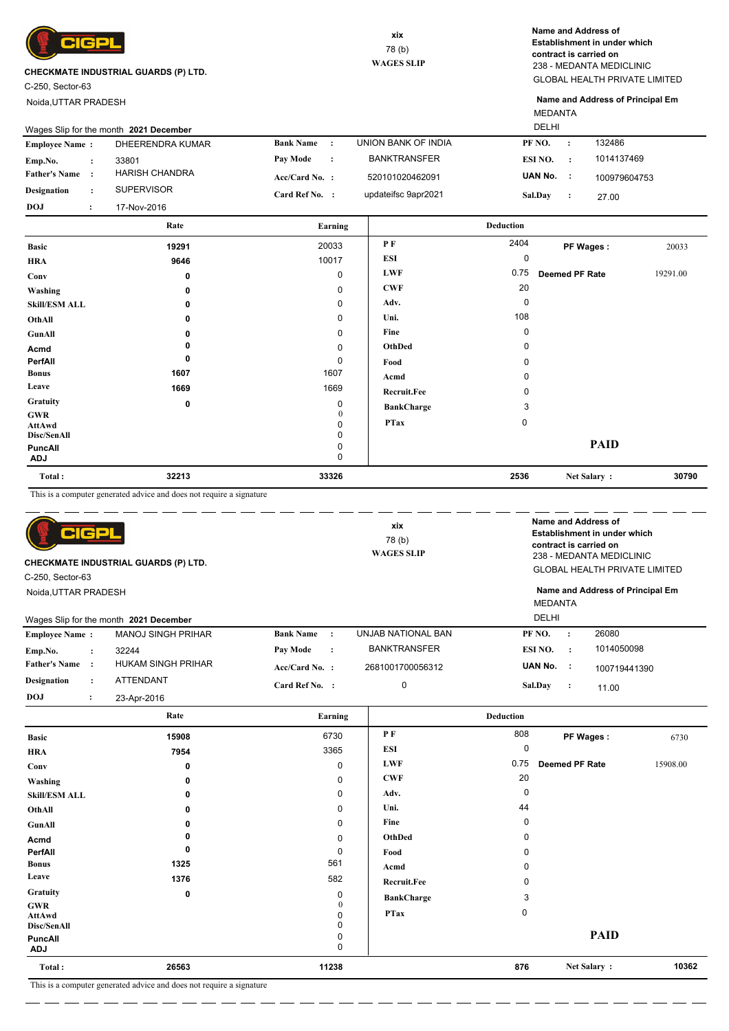

C-250, Sector-63

Noida,UTTAR PRADESH

GLOBAL HEALTH PRIVATE LIMITED 238 - MEDANTA MEDICLINIC **Name and Address of Establishment in under which contract is carried on**

MEDANTA **Name and Address of Principal Em**

| <b>Employee Name:</b> |                      | DHEERENDRA KUMAR  | <b>Bank Name:</b>     | UNION BANK OF INDIA | PF NO.           |                      | 132486       |       |
|-----------------------|----------------------|-------------------|-----------------------|---------------------|------------------|----------------------|--------------|-------|
| Emp.No.               | $\ddot{\phantom{0}}$ | 33801             | Pay Mode<br>$\cdot$ : | <b>BANKTRANSFER</b> | ESI NO.          | $\cdot$              | 1014137469   |       |
| <b>Father's Name</b>  | $\cdot$              | HARISH CHANDRA    | $Acc/Card No.$ :      | 520101020462091     | UAN No.          | <b>T</b>             | 100979604753 |       |
| <b>Designation</b>    | $\ddot{\phantom{a}}$ | <b>SUPERVISOR</b> | Card Ref No. :        | updateifsc 9apr2021 | Sal.Day          | $\ddot{\phantom{0}}$ | 27.00        |       |
| <b>DOJ</b>            | $\ddot{\phantom{a}}$ | 17-Nov-2016       |                       |                     |                  |                      |              |       |
|                       |                      | Rate              | Earning               |                     | <b>Deduction</b> |                      |              |       |
| <b>Basic</b>          |                      | 19291             | 20033                 | РF                  | 2404             |                      | PF Wages:    | 20033 |

| Total:                       | 32213       | 33326        |                    | 2536     | Net Salary:    | 30790    |
|------------------------------|-------------|--------------|--------------------|----------|----------------|----------|
| <b>PuncAll</b><br><b>ADJ</b> |             | 0<br>0       |                    |          |                |          |
| Disc/SenAll                  |             | 0            |                    |          | <b>PAID</b>    |          |
| AttAwd                       |             | 0            | <b>PTax</b>        | $\Omega$ |                |          |
| <b>GWR</b>                   |             | $\mathbf{0}$ |                    |          |                |          |
| <b>Gratuity</b>              | $\mathbf 0$ | 0            | <b>BankCharge</b>  | 3        |                |          |
| Leave                        | 1669        | 1669         | <b>Recruit.Fee</b> | 0        |                |          |
| <b>Bonus</b>                 | 1607        | 1607         | Acmd               | 0        |                |          |
| PerfAll                      | 0           | 0            | Food               | 0        |                |          |
| Acmd                         | 0           | $\mathbf 0$  | OthDed             | $\Omega$ |                |          |
| GunAll                       | 0           | 0            | Fine               | 0        |                |          |
| OthAll                       | 0           | 0            | Uni.               | 108      |                |          |
| <b>Skill/ESM ALL</b>         | 0           | 0            | Adv.               | $\Omega$ |                |          |
| Washing                      | 0           | $\mathbf 0$  | <b>CWF</b>         | 20       |                |          |
| Conv                         | 0           | $\mathbf 0$  | <b>LWF</b>         | 0.75     | Deemed PF Rate | 19291.00 |
| <b>HRA</b>                   | 9646        | 10017        | <b>ESI</b>         | 0        |                |          |
| $\boldsymbol{\mu}$           | $- - -$     |              |                    |          | . . <b></b>    | $\sim$   |

This is a computer generated advice and does not require a signature

| CIGPL<br><b>CHECKMATE INDUSTRIAL GUARDS (P) LTD.</b><br>C-250, Sector-63 |                      |                                        | xix<br>78(b)<br><b>WAGES SLIP</b> |                     | Name and Address of<br>Establishment in under which<br>contract is carried on<br>238 - MEDANTA MEDICLINIC<br><b>GLOBAL HEALTH PRIVATE LIMITED</b> |           |              |
|--------------------------------------------------------------------------|----------------------|----------------------------------------|-----------------------------------|---------------------|---------------------------------------------------------------------------------------------------------------------------------------------------|-----------|--------------|
| Noida, UTTAR PRADESH                                                     |                      |                                        | <b>MEDANTA</b>                    |                     | Name and Address of Principal Em                                                                                                                  |           |              |
|                                                                          |                      | Wages Slip for the month 2021 December |                                   |                     | <b>DELHI</b>                                                                                                                                      |           |              |
| <b>Employee Name:</b>                                                    |                      | <b>MANOJ SINGH PRIHAR</b>              | <b>Bank Name</b><br>$\cdot$ :     | UNJAB NATIONAL BAN  | PF NO.                                                                                                                                            | $\cdot$   | 26080        |
| Emp.No.                                                                  | $\ddot{\cdot}$       | 32244                                  | <b>Pay Mode</b><br>$\cdot$        | <b>BANKTRANSFER</b> | ESI NO.                                                                                                                                           | $\cdot$ : | 1014050098   |
| <b>Father's Name</b>                                                     | $\cdot$ :            | <b>HUKAM SINGH PRIHAR</b>              | $Acc/Card No.$ :                  | 2681001700056312    | UAN No.                                                                                                                                           | $\sim$ 1  | 100719441390 |
| <b>Designation</b>                                                       | $\ddot{\phantom{a}}$ | ATTENDANT                              | Card Ref No. :                    | $\mathbf 0$         | Sal.Dav                                                                                                                                           | $\cdot$   | 11.00        |
| <b>DOJ</b>                                                               | $\ddot{\cdot}$       | 23-Apr-2016                            |                                   |                     |                                                                                                                                                   |           |              |
|                                                                          |                      | Rate                                   | Earning                           |                     | <b>Deduction</b>                                                                                                                                  |           |              |
|                                                                          |                      |                                        | $- - - -$                         | D E.                | 000                                                                                                                                               |           |              |

|                       | This is a computer concreted advice and does not require a signature. |             |                    |             |                       |          |
|-----------------------|-----------------------------------------------------------------------|-------------|--------------------|-------------|-----------------------|----------|
| Total:                | 26563                                                                 | 11238       |                    | 876         | Net Salary:           | 10362    |
| PuncAll<br><b>ADJ</b> |                                                                       | 0           |                    |             |                       |          |
| Disc/SenAll           |                                                                       |             |                    |             | <b>PAID</b>           |          |
| AttAwd                |                                                                       |             |                    |             |                       |          |
| <b>GWR</b>            |                                                                       | $\Omega$    | <b>PTax</b>        | $\mathbf 0$ |                       |          |
| <b>Gratuity</b>       | 0                                                                     | 0           | <b>BankCharge</b>  | 3           |                       |          |
| Leave                 | 1376                                                                  | 582         | <b>Recruit.Fee</b> |             |                       |          |
| <b>Bonus</b>          | 1325                                                                  | 561         | Acmd               |             |                       |          |
| PerfAll               | ŋ                                                                     | $\mathbf 0$ | Food               |             |                       |          |
| Acmd                  |                                                                       | 0           | OthDed             | 0           |                       |          |
| GunAll                |                                                                       | 0           | Fine               | 0           |                       |          |
| OthAll                | 0                                                                     | 0           | Uni.               | 44          |                       |          |
| <b>Skill/ESM ALL</b>  | 0                                                                     | 0           | Adv.               | 0           |                       |          |
| Washing               | 0                                                                     | 0           | <b>CWF</b>         | 20          |                       |          |
| Conv                  | 0                                                                     | 0           | <b>LWF</b>         | 0.75        | <b>Deemed PF Rate</b> | 15908.00 |
| <b>HRA</b>            | 7954                                                                  | 3365        | <b>ESI</b>         | 0           |                       |          |
| <b>Basic</b>          | 15908                                                                 | 6730        | P F                | 808         | PF Wages:             | 6730     |
|                       |                                                                       |             |                    |             |                       |          |

 $=$   $\overline{\phantom{a}}$ 

 $=$   $=$  $=$   $-$